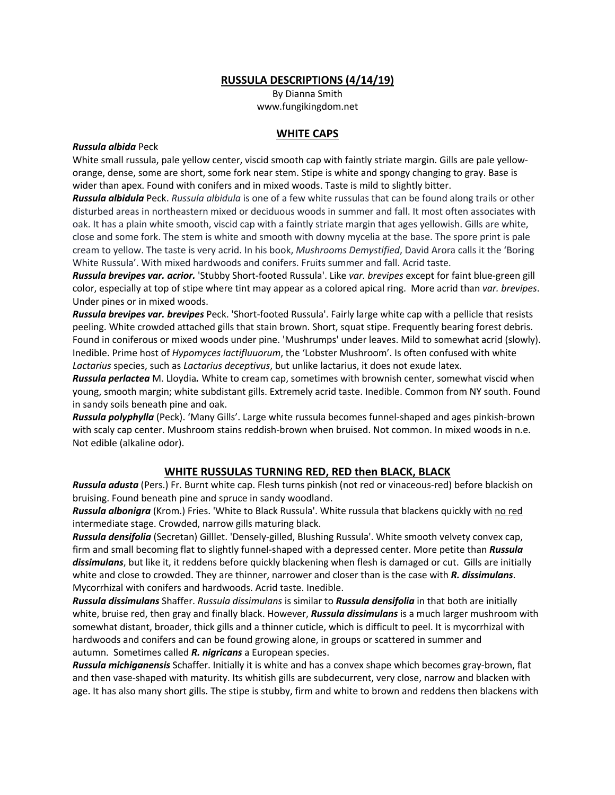### **RUSSULA DESCRIPTIONS (4/14/19)**

By Dianna Smith www.fungikingdom.net

### **WHITE CAPS**

#### *Russula albida* Peck

White small russula, pale yellow center, viscid smooth cap with faintly striate margin. Gills are pale yelloworange, dense, some are short, some fork near stem. Stipe is white and spongy changing to gray. Base is wider than apex. Found with conifers and in mixed woods. Taste is mild to slightly bitter.

*Russula albidula* Peck. *Russula albidula* is one of a few white russulas that can be found along trails or other disturbed areas in northeastern mixed or deciduous woods in summer and fall. It most often associates with oak. It has a plain white smooth, viscid cap with a faintly striate margin that ages yellowish. Gills are white, close and some fork. The stem is white and smooth with downy mycelia at the base. The spore print is pale cream to yellow. The taste is very acrid. In his book, *Mushrooms Demystified*, David Arora calls it the 'Boring White Russula'. With mixed hardwoods and conifers. Fruits summer and fall. Acrid taste.

*Russula brevipes var. acrior.* 'Stubby Short-footed Russula'. Like *var. brevipes* except for faint blue-green gill color, especially at top of stipe where tint may appear as a colored apical ring. More acrid than *var. brevipes*. Under pines or in mixed woods.

*Russula brevipes var. brevipes* Peck. 'Short-footed Russula'. Fairly large white cap with a pellicle that resists peeling. White crowded attached gills that stain brown. Short, squat stipe. Frequently bearing forest debris. Found in coniferous or mixed woods under pine. 'Mushrumps' under leaves. Mild to somewhat acrid (slowly). Inedible. Prime host of *Hypomyces lactifluuorum*, the 'Lobster Mushroom'. Is often confused with white *Lactarius* species, such as *Lactarius deceptivus*, but unlike lactarius, it does not exude latex.

*Russula perlactea* M. Lloydia*.* White to cream cap, sometimes with brownish center, somewhat viscid when young, smooth margin; white subdistant gills. Extremely acrid taste. Inedible. Common from NY south. Found in sandy soils beneath pine and oak.

*Russula polyphylla* (Peck). 'Many Gills'. Large white russula becomes funnel-shaped and ages pinkish-brown with scaly cap center. Mushroom stains reddish-brown when bruised. Not common. In mixed woods in n.e. Not edible (alkaline odor).

## **WHITE RUSSULAS TURNING RED, RED then BLACK, BLACK**

*Russula adusta* (Pers.) Fr. Burnt white cap. Flesh turns pinkish (not red or vinaceous-red) before blackish on bruising. Found beneath pine and spruce in sandy woodland.

*Russula albonigra* (Krom.) Fries. 'White to Black Russula'. White russula that blackens quickly with no red intermediate stage. Crowded, narrow gills maturing black.

*Russula densifolia* (Secretan) Gilllet. 'Densely-gilled, Blushing Russula'. White smooth velvety convex cap, firm and small becoming flat to slightly funnel-shaped with a depressed center. More petite than *Russula dissimulans*, but like it, it reddens before quickly blackening when flesh is damaged or cut. Gills are initially white and close to crowded. They are thinner, narrower and closer than is the case with *R. dissimulans*. Mycorrhizal with conifers and hardwoods. Acrid taste. Inedible.

*Russula dissimulans* Shaffer. *Russula dissimulans* is similar to *Russula densifolia* in that both are initially white, bruise red, then gray and finally black. However, *Russula dissimulans* is a much larger mushroom with somewhat distant, broader, thick gills and a thinner cuticle, which is difficult to peel. It is mycorrhizal with hardwoods and conifers and can be found growing alone, in groups or scattered in summer and autumn. Sometimes called *R. nigricans* a European species.

*Russula michiganensis* Schaffer. Initially it is white and has a convex shape which becomes gray-brown, flat and then vase-shaped with maturity. Its whitish gills are subdecurrent, very close, narrow and blacken with age. It has also many short gills. The stipe is stubby, firm and white to brown and reddens then blackens with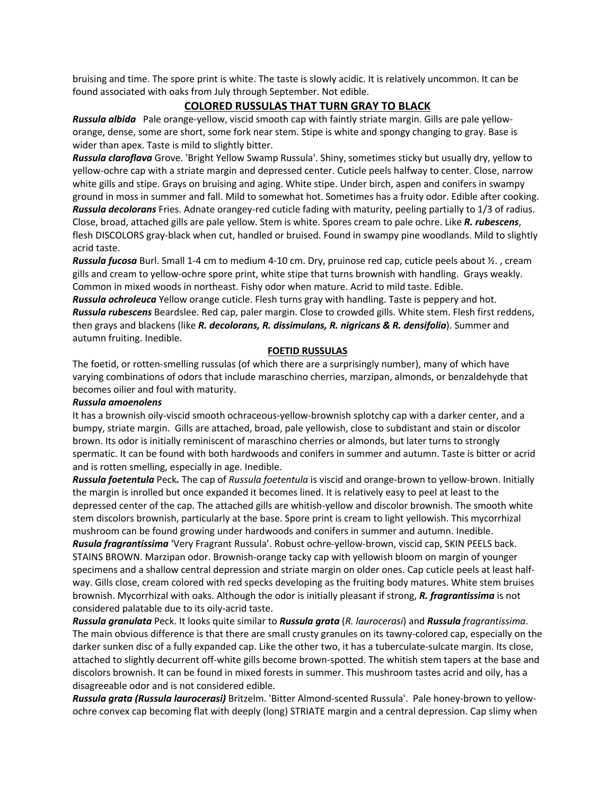bruising and time. The spore print is white. The taste is slowly acidic. It is relatively uncommon. It can be found associated with oaks from July through September. Not edible.

# **COLORED RUSSULAS THAT TURN GRAY TO BLACK**

*Russula albida* Pale orange-yellow, viscid smooth cap with faintly striate margin. Gills are pale yelloworange, dense, some are short, some fork near stem. Stipe is white and spongy changing to gray. Base is wider than apex. Taste is mild to slightly bitter.

*Russula claroflava* Grove. 'Bright Yellow Swamp Russula'. Shiny, sometimes sticky but usually dry, yellow to yellow-ochre cap with a striate margin and depressed center. Cuticle peels halfway to center. Close, narrow white gills and stipe. Grays on bruising and aging. White stipe. Under birch, aspen and conifers in swampy ground in moss in summer and fall. Mild to somewhat hot. Sometimes has a fruity odor. Edible after cooking. *Russula decolorans* Fries. Adnate orangey-red cuticle fading with maturity, peeling partially to 1/3 of radius. Close, broad, attached gills are pale yellow. Stem is white. Spores cream to pale ochre. Like *R. rubescens*, flesh DISCOLORS gray-black when cut, handled or bruised. Found in swampy pine woodlands. Mild to slightly acrid taste.

*Russula fucosa* Burl. Small 1-4 cm to medium 4-10 cm. Dry, pruinose red cap, cuticle peels about ½. , cream gills and cream to yellow-ochre spore print, white stipe that turns brownish with handling. Grays weakly. Common in mixed woods in northeast. Fishy odor when mature. Acrid to mild taste. Edible.

*Russula ochroleuca* Yellow orange cuticle. Flesh turns gray with handling. Taste is peppery and hot. *Russula rubescens* Beardslee. Red cap, paler margin. Close to crowded gills. White stem. Flesh first reddens, then grays and blackens (like *R. decolorans, R. dissimulans, R. nigricans & R. densifolia*). Summer and autumn fruiting. Inedible.

#### **FOETID RUSSULAS**

The foetid, or rotten-smelling russulas (of which there are a surprisingly number), many of which have varying combinations of odors that include maraschino cherries, marzipan, almonds, or benzaldehyde that becomes oilier and foul with maturity.

#### *Russula amoenolens*

It has a brownish oily-viscid smooth ochraceous-yellow-brownish splotchy cap with a darker center, and a bumpy, striate margin. Gills are attached, broad, pale yellowish, close to subdistant and stain or discolor brown. Its odor is initially reminiscent of maraschino cherries or almonds, but later turns to strongly spermatic. It can be found with both hardwoods and conifers in summer and autumn. Taste is bitter or acrid and is rotten smelling, especially in age. Inedible.

*Russula foetentula* Peck*.* The cap of *Russula foetentula* is viscid and orange-brown to yellow-brown. Initially the margin is inrolled but once expanded it becomes lined. It is relatively easy to peel at least to the depressed center of the cap. The attached gills are whitish-yellow and discolor brownish. The smooth white stem discolors brownish, particularly at the base. Spore print is cream to light yellowish. This mycorrhizal mushroom can be found growing under hardwoods and conifers in summer and autumn. Inedible.

*Rusula fragrantissima* 'Very Fragrant Russula'. Robust ochre-yellow-brown, viscid cap, SKIN PEELS back. STAINS BROWN. Marzipan odor. Brownish-orange tacky cap with yellowish bloom on margin of younger specimens and a shallow central depression and striate margin on older ones. Cap cuticle peels at least halfway. Gills close, cream colored with red specks developing as the fruiting body matures. White stem bruises brownish. Mycorrhizal with oaks. Although the odor is initially pleasant if strong, *R. fragrantissima* is not considered palatable due to its oily-acrid taste.

*Russula granulata* Peck. It looks quite similar to *Russula grata* (*R. laurocerasi*) and *Russula fragrantissima*. The main obvious difference is that there are small crusty granules on its tawny-colored cap, especially on the darker sunken disc of a fully expanded cap. Like the other two, it has a tuberculate-sulcate margin. Its close, attached to slightly decurrent off-white gills become brown-spotted. The whitish stem tapers at the base and discolors brownish. It can be found in mixed forests in summer. This mushroom tastes acrid and oily, has a disagreeable odor and is not considered edible.

*Russula grata (Russula laurocerasi)* Britzelm. 'Bitter Almond-scented Russula'. Pale honey-brown to yellowochre convex cap becoming flat with deeply (long) STRIATE margin and a central depression. Cap slimy when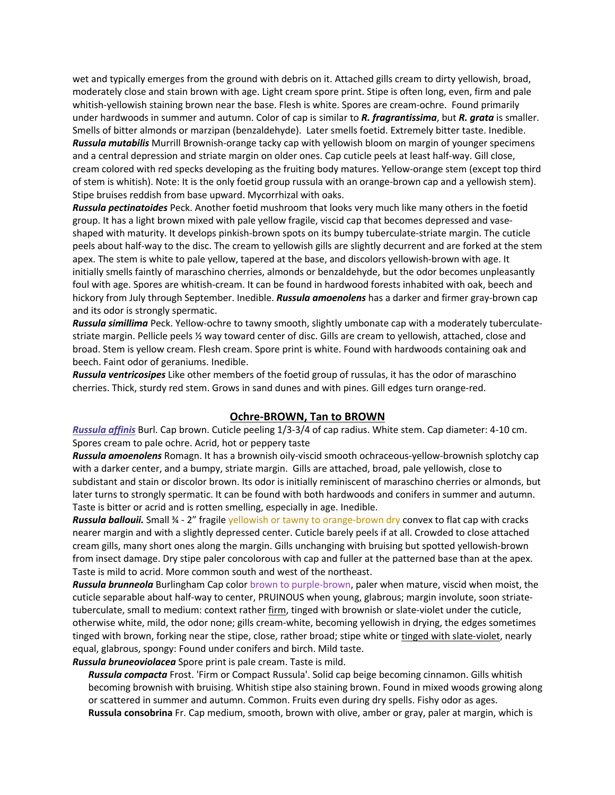wet and typically emerges from the ground with debris on it. Attached gills cream to dirty yellowish, broad, moderately close and stain brown with age. Light cream spore print. Stipe is often long, even, firm and pale whitish-yellowish staining brown near the base. Flesh is white. Spores are cream-ochre. Found primarily under hardwoods in summer and autumn. Color of cap is similar to *R. fragrantissima*, but *R. grata* is smaller. Smells of bitter almonds or marzipan (benzaldehyde). Later smells foetid. Extremely bitter taste. Inedible. *Russula mutabilis* Murrill Brownish-orange tacky cap with yellowish bloom on margin of younger specimens and a central depression and striate margin on older ones. Cap cuticle peels at least half-way. Gill close, cream colored with red specks developing as the fruiting body matures. Yellow-orange stem (except top third of stem is whitish). Note: It is the only foetid group russula with an orange-brown cap and a yellowish stem). Stipe bruises reddish from base upward. Mycorrhizal with oaks.

*Russula pectinatoides* Peck. Another foetid mushroom that looks very much like many others in the foetid group. It has a light brown mixed with pale yellow fragile, viscid cap that becomes depressed and vaseshaped with maturity. It develops pinkish-brown spots on its bumpy tuberculate-striate margin. The cuticle peels about half-way to the disc. The cream to yellowish gills are slightly decurrent and are forked at the stem apex. The stem is white to pale yellow, tapered at the base, and discolors yellowish-brown with age. It initially smells faintly of maraschino cherries, almonds or benzaldehyde, but the odor becomes unpleasantly foul with age. Spores are whitish-cream. It can be found in hardwood forests inhabited with oak, beech and hickory from July through September. Inedible. *Russula amoenolens* has a darker and firmer gray-brown cap and its odor is strongly spermatic.

*Russula simillima* Peck. Yellow-ochre to tawny smooth, slightly umbonate cap with a moderately tuberculatestriate margin. Pellicle peels ½ way toward center of disc. Gills are cream to yellowish, attached, close and broad. Stem is yellow cream. Flesh cream. Spore print is white. Found with hardwoods containing oak and beech. Faint odor of geraniums. Inedible.

*Russula ventricosipes* Like other members of the foetid group of russulas, it has the odor of maraschino cherries. Thick, sturdy red stem. Grows in sand dunes and with pines. Gill edges turn orange-red.

### **Ochre-BROWN, Tan to BROWN**

*Russula affinis* Burl. Cap brown. Cuticle peeling 1/3-3/4 of cap radius. White stem. Cap diameter: 4-10 cm. Spores cream to pale ochre. Acrid, hot or peppery taste

*Russula amoenolens* Romagn. It has a brownish oily-viscid smooth ochraceous-yellow-brownish splotchy cap with a darker center, and a bumpy, striate margin. Gills are attached, broad, pale yellowish, close to subdistant and stain or discolor brown. Its odor is initially reminiscent of maraschino cherries or almonds, but later turns to strongly spermatic. It can be found with both hardwoods and conifers in summer and autumn. Taste is bitter or acrid and is rotten smelling, especially in age. Inedible.

*Russula ballouii.* Small ¾ - 2" fragile yellowish or tawny to orange-brown dry convex to flat cap with cracks nearer margin and with a slightly depressed center. Cuticle barely peels if at all. Crowded to close attached cream gills, many short ones along the margin. Gills unchanging with bruising but spotted yellowish-brown from insect damage. Dry stipe paler concolorous with cap and fuller at the patterned base than at the apex. Taste is mild to acrid. More common south and west of the northeast.

*Russula brunneola* Burlingham Cap color brown to purple-brown, paler when mature, viscid when moist, the cuticle separable about half-way to center, PRUINOUS when young, glabrous; margin involute, soon striatetuberculate, small to medium: context rather firm, tinged with brownish or slate-violet under the cuticle, otherwise white, mild, the odor none; gills cream-white, becoming yellowish in drying, the edges sometimes tinged with brown, forking near the stipe, close, rather broad; stipe white or tinged with slate-violet, nearly equal, glabrous, spongy: Found under conifers and birch. Mild taste.

*Russula bruneoviolacea* Spore print is pale cream. Taste is mild.

*Russula compacta* Frost. 'Firm or Compact Russula'. Solid cap beige becoming cinnamon. Gills whitish becoming brownish with bruising. Whitish stipe also staining brown. Found in mixed woods growing along or scattered in summer and autumn. Common. Fruits even during dry spells. Fishy odor as ages. **Russula consobrina** Fr. Cap medium, smooth, brown with olive, amber or gray, paler at margin, which is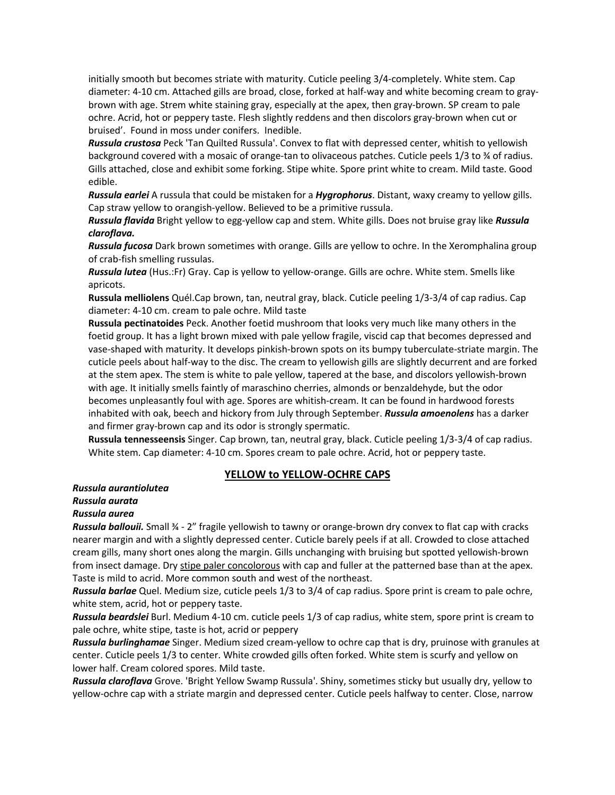initially smooth but becomes striate with maturity. Cuticle peeling 3/4-completely. White stem. Cap diameter: 4-10 cm. Attached gills are broad, close, forked at half-way and white becoming cream to graybrown with age. Strem white staining gray, especially at the apex, then gray-brown. SP cream to pale ochre. Acrid, hot or peppery taste. Flesh slightly reddens and then discolors gray-brown when cut or bruised'. Found in moss under conifers. Inedible.

*Russula crustosa* Peck 'Tan Quilted Russula'. Convex to flat with depressed center, whitish to yellowish background covered with a mosaic of orange-tan to olivaceous patches. Cuticle peels 1/3 to ¾ of radius. Gills attached, close and exhibit some forking. Stipe white. Spore print white to cream. Mild taste. Good edible.

*Russula earlei* A russula that could be mistaken for a *Hygrophorus*. Distant, waxy creamy to yellow gills. Cap straw yellow to orangish-yellow. Believed to be a primitive russula.

*Russula flavida* Bright yellow to egg-yellow cap and stem. White gills. Does not bruise gray like *Russula claroflava.* 

*Russula fucosa* Dark brown sometimes with orange. Gills are yellow to ochre. In the Xeromphalina group of crab-fish smelling russulas.

*Russula lutea* (Hus.:Fr) Gray. Cap is yellow to yellow-orange. Gills are ochre. White stem. Smells like apricots.

**Russula melliolens** Quél.Cap brown, tan, neutral gray, black. Cuticle peeling 1/3-3/4 of cap radius. Cap diameter: 4-10 cm. cream to pale ochre. Mild taste

**Russula pectinatoides** Peck. Another foetid mushroom that looks very much like many others in the foetid group. It has a light brown mixed with pale yellow fragile, viscid cap that becomes depressed and vase-shaped with maturity. It develops pinkish-brown spots on its bumpy tuberculate-striate margin. The cuticle peels about half-way to the disc. The cream to yellowish gills are slightly decurrent and are forked at the stem apex. The stem is white to pale yellow, tapered at the base, and discolors yellowish-brown with age. It initially smells faintly of maraschino cherries, almonds or benzaldehyde, but the odor becomes unpleasantly foul with age. Spores are whitish-cream. It can be found in hardwood forests inhabited with oak, beech and hickory from July through September. *Russula amoenolens* has a darker and firmer gray-brown cap and its odor is strongly spermatic.

**Russula tennesseensis** Singer. Cap brown, tan, neutral gray, black. Cuticle peeling 1/3-3/4 of cap radius. White stem. Cap diameter: 4-10 cm. Spores cream to pale ochre. Acrid, hot or peppery taste.

## **YELLOW to YELLOW-OCHRE CAPS**

### *Russula aurantiolutea*

### *Russula aurata*

### *Russula aurea*

*Russula ballouii.* Small ¾ - 2" fragile yellowish to tawny or orange-brown dry convex to flat cap with cracks nearer margin and with a slightly depressed center. Cuticle barely peels if at all. Crowded to close attached cream gills, many short ones along the margin. Gills unchanging with bruising but spotted yellowish-brown from insect damage. Dry stipe paler concolorous with cap and fuller at the patterned base than at the apex. Taste is mild to acrid. More common south and west of the northeast.

*Russula barlae* Quel. Medium size, cuticle peels 1/3 to 3/4 of cap radius. Spore print is cream to pale ochre, white stem, acrid, hot or peppery taste.

*Russula beardslei* Burl. Medium 4-10 cm. cuticle peels 1/3 of cap radius, white stem, spore print is cream to pale ochre, white stipe, taste is hot, acrid or peppery

*Russula burlinghamae* Singer. Medium sized cream-yellow to ochre cap that is dry, pruinose with granules at center. Cuticle peels 1/3 to center. White crowded gills often forked. White stem is scurfy and yellow on lower half. Cream colored spores. Mild taste.

*Russula claroflava* Grove. 'Bright Yellow Swamp Russula'. Shiny, sometimes sticky but usually dry, yellow to yellow-ochre cap with a striate margin and depressed center. Cuticle peels halfway to center. Close, narrow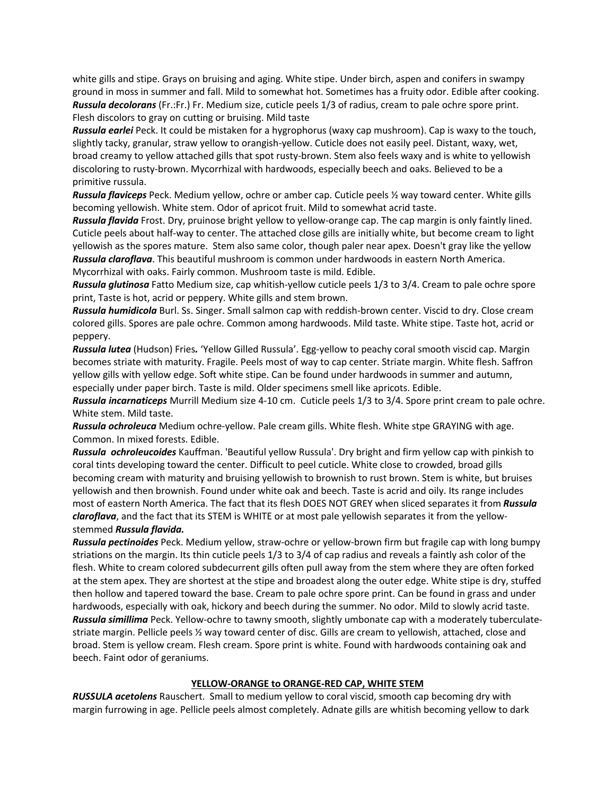white gills and stipe. Grays on bruising and aging. White stipe. Under birch, aspen and conifers in swampy ground in moss in summer and fall. Mild to somewhat hot. Sometimes has a fruity odor. Edible after cooking. *Russula decolorans* (Fr.:Fr.) Fr. Medium size, cuticle peels 1/3 of radius, cream to pale ochre spore print. Flesh discolors to gray on cutting or bruising. Mild taste

*Russula earlei* Peck. It could be mistaken for a hygrophorus (waxy cap mushroom). Cap is waxy to the touch, slightly tacky, granular, straw yellow to orangish-yellow. Cuticle does not easily peel. Distant, waxy, wet, broad creamy to yellow attached gills that spot rusty-brown. Stem also feels waxy and is white to yellowish discoloring to rusty-brown. Mycorrhizal with hardwoods, especially beech and oaks. Believed to be a primitive russula.

*Russula flaviceps* Peck. Medium yellow, ochre or amber cap. Cuticle peels ½ way toward center. White gills becoming yellowish. White stem. Odor of apricot fruit. Mild to somewhat acrid taste.

*Russula flavida* Frost. Dry, pruinose bright yellow to yellow-orange cap. The cap margin is only faintly lined. Cuticle peels about half-way to center. The attached close gills are initially white, but become cream to light yellowish as the spores mature. Stem also same color, though paler near apex. Doesn't gray like the yellow *Russula claroflava*. This beautiful mushroom is common under hardwoods in eastern North America. Mycorrhizal with oaks. Fairly common. Mushroom taste is mild. Edible.

*Russula glutinosa* Fatto Medium size, cap whitish-yellow cuticle peels 1/3 to 3/4. Cream to pale ochre spore print, Taste is hot, acrid or peppery. White gills and stem brown.

*Russula humidicola* Burl. Ss. Singer. Small salmon cap with reddish-brown center. Viscid to dry. Close cream colored gills. Spores are pale ochre. Common among hardwoods. Mild taste. White stipe. Taste hot, acrid or peppery.

*Russula lutea* (Hudson) Fries*.* 'Yellow Gilled Russula'. Egg-yellow to peachy coral smooth viscid cap. Margin becomes striate with maturity. Fragile. Peels most of way to cap center. Striate margin. White flesh. Saffron yellow gills with yellow edge. Soft white stipe. Can be found under hardwoods in summer and autumn, especially under paper birch. Taste is mild. Older specimens smell like apricots. Edible.

*Russula incarnaticeps* Murrill Medium size 4-10 cm. Cuticle peels 1/3 to 3/4. Spore print cream to pale ochre. White stem. Mild taste.

*Russula ochroleuca* Medium ochre-yellow. Pale cream gills. White flesh. White stpe GRAYING with age. Common. In mixed forests. Edible.

*Russula ochroleucoides* Kauffman. 'Beautiful yellow Russula'. Dry bright and firm yellow cap with pinkish to coral tints developing toward the center. Difficult to peel cuticle. White close to crowded, broad gills becoming cream with maturity and bruising yellowish to brownish to rust brown. Stem is white, but bruises yellowish and then brownish. Found under white oak and beech. Taste is acrid and oily. Its range includes most of eastern North America. The fact that its flesh DOES NOT GREY when sliced separates it from *Russula claroflava*, and the fact that its STEM is WHITE or at most pale yellowish separates it from the yellowstemmed *Russula flavida.*

*Russula pectinoides* Peck. Medium yellow, straw-ochre or yellow-brown firm but fragile cap with long bumpy striations on the margin. Its thin cuticle peels 1/3 to 3/4 of cap radius and reveals a faintly ash color of the flesh. White to cream colored subdecurrent gills often pull away from the stem where they are often forked at the stem apex. They are shortest at the stipe and broadest along the outer edge. White stipe is dry, stuffed then hollow and tapered toward the base. Cream to pale ochre spore print. Can be found in grass and under hardwoods, especially with oak, hickory and beech during the summer. No odor. Mild to slowly acrid taste. *Russula simillima* Peck. Yellow-ochre to tawny smooth, slightly umbonate cap with a moderately tuberculatestriate margin. Pellicle peels ½ way toward center of disc. Gills are cream to yellowish, attached, close and broad. Stem is yellow cream. Flesh cream. Spore print is white. Found with hardwoods containing oak and beech. Faint odor of geraniums.

### **YELLOW-ORANGE to ORANGE-RED CAP, WHITE STEM**

*RUSSULA acetolens* Rauschert. Small to medium yellow to coral viscid, smooth cap becoming dry with margin furrowing in age. Pellicle peels almost completely. Adnate gills are whitish becoming yellow to dark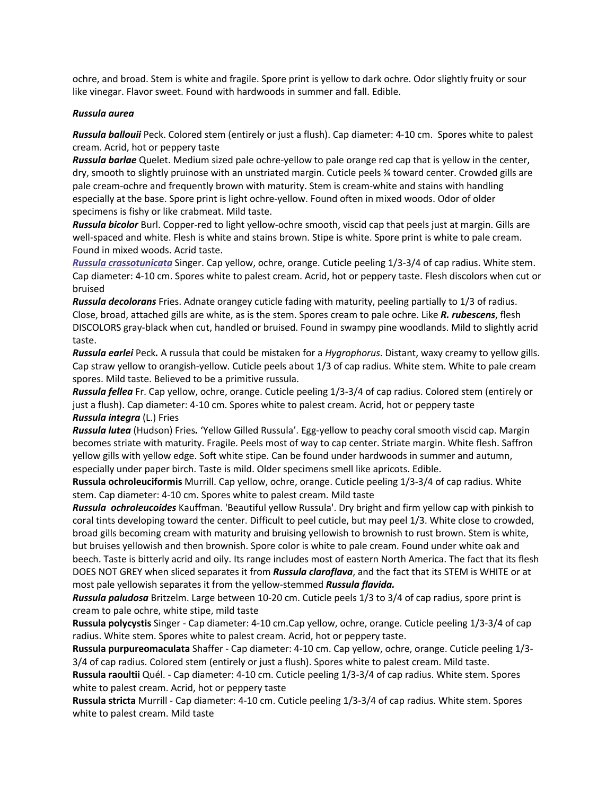ochre, and broad. Stem is white and fragile. Spore print is yellow to dark ochre. Odor slightly fruity or sour like vinegar. Flavor sweet. Found with hardwoods in summer and fall. Edible.

### *Russula aurea*

*Russula ballouii* Peck. Colored stem (entirely or just a flush). Cap diameter: 4-10 cm. Spores white to palest cream. Acrid, hot or peppery taste

*Russula barlae* Quelet. Medium sized pale ochre-yellow to pale orange red cap that is yellow in the center, dry, smooth to slightly pruinose with an unstriated margin. Cuticle peels ¾ toward center. Crowded gills are pale cream-ochre and frequently brown with maturity. Stem is cream-white and stains with handling especially at the base. Spore print is light ochre-yellow. Found often in mixed woods. Odor of older specimens is fishy or like crabmeat. Mild taste.

*Russula bicolor* Burl. Copper-red to light yellow-ochre smooth, viscid cap that peels just at margin. Gills are well-spaced and white. Flesh is white and stains brown. Stipe is white. Spore print is white to pale cream. Found in mixed woods. Acrid taste.

*Russula crassotunicata* Singer. Cap yellow, ochre, orange. Cuticle peeling 1/3-3/4 of cap radius. White stem. Cap diameter: 4-10 cm. Spores white to palest cream. Acrid, hot or peppery taste. Flesh discolors when cut or bruised

*Russula decolorans* Fries. Adnate orangey cuticle fading with maturity, peeling partially to 1/3 of radius. Close, broad, attached gills are white, as is the stem. Spores cream to pale ochre. Like *R. rubescens*, flesh DISCOLORS gray-black when cut, handled or bruised. Found in swampy pine woodlands. Mild to slightly acrid taste.

*Russula earlei* Peck*.* A russula that could be mistaken for a *Hygrophorus*. Distant, waxy creamy to yellow gills. Cap straw yellow to orangish-yellow. Cuticle peels about 1/3 of cap radius. White stem. White to pale cream spores. Mild taste. Believed to be a primitive russula.

*Russula fellea* Fr. Cap yellow, ochre, orange. Cuticle peeling 1/3-3/4 of cap radius. Colored stem (entirely or just a flush). Cap diameter: 4-10 cm. Spores white to palest cream. Acrid, hot or peppery taste *Russula integra* (L.) Fries

*Russula lutea* (Hudson) Fries*.* 'Yellow Gilled Russula'. Egg-yellow to peachy coral smooth viscid cap. Margin becomes striate with maturity. Fragile. Peels most of way to cap center. Striate margin. White flesh. Saffron yellow gills with yellow edge. Soft white stipe. Can be found under hardwoods in summer and autumn, especially under paper birch. Taste is mild. Older specimens smell like apricots. Edible.

**Russula ochroleuciformis** Murrill. Cap yellow, ochre, orange. Cuticle peeling 1/3-3/4 of cap radius. White stem. Cap diameter: 4-10 cm. Spores white to palest cream. Mild taste

*Russula ochroleucoides* Kauffman. 'Beautiful yellow Russula'. Dry bright and firm yellow cap with pinkish to coral tints developing toward the center. Difficult to peel cuticle, but may peel 1/3. White close to crowded, broad gills becoming cream with maturity and bruising yellowish to brownish to rust brown. Stem is white, but bruises yellowish and then brownish. Spore color is white to pale cream. Found under white oak and beech. Taste is bitterly acrid and oily. Its range includes most of eastern North America. The fact that its flesh DOES NOT GREY when sliced separates it from *Russula claroflava*, and the fact that its STEM is WHITE or at most pale yellowish separates it from the yellow-stemmed *Russula flavida.*

*Russula paludosa* Britzelm. Large between 10-20 cm. Cuticle peels 1/3 to 3/4 of cap radius, spore print is cream to pale ochre, white stipe, mild taste

**Russula polycystis** Singer - Cap diameter: 4-10 cm.Cap yellow, ochre, orange. Cuticle peeling 1/3-3/4 of cap radius. White stem. Spores white to palest cream. Acrid, hot or peppery taste.

**Russula purpureomaculata** Shaffer - Cap diameter: 4-10 cm. Cap yellow, ochre, orange. Cuticle peeling 1/3- 3/4 of cap radius. Colored stem (entirely or just a flush). Spores white to palest cream. Mild taste.

**Russula raoultii** Quél. - Cap diameter: 4-10 cm. Cuticle peeling 1/3-3/4 of cap radius. White stem. Spores white to palest cream. Acrid, hot or peppery taste

**Russula stricta** Murrill - Cap diameter: 4-10 cm. Cuticle peeling 1/3-3/4 of cap radius. White stem. Spores white to palest cream. Mild taste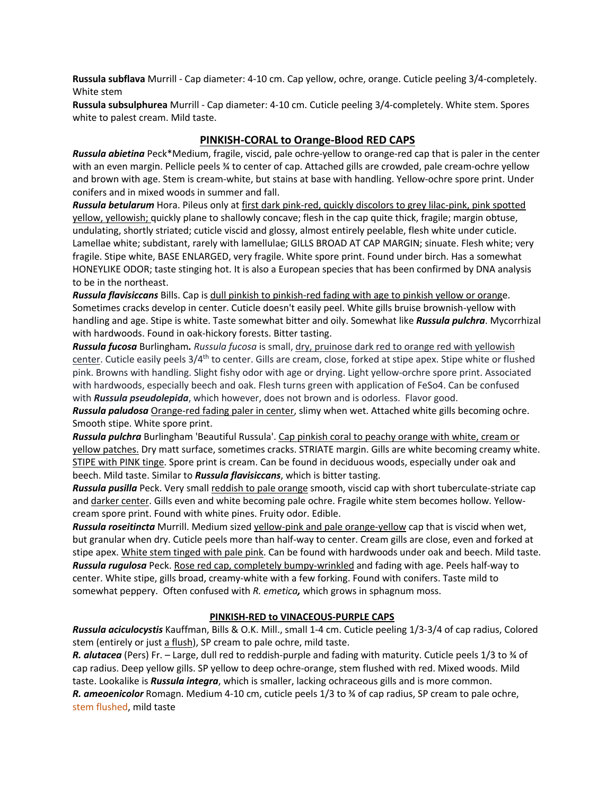**Russula subflava** Murrill - Cap diameter: 4-10 cm. Cap yellow, ochre, orange. Cuticle peeling 3/4-completely. White stem

**Russula subsulphurea** Murrill - Cap diameter: 4-10 cm. Cuticle peeling 3/4-completely. White stem. Spores white to palest cream. Mild taste.

## **PINKISH-CORAL to Orange-Blood RED CAPS**

*Russula abietina* Peck\*Medium, fragile, viscid, pale ochre-yellow to orange-red cap that is paler in the center with an even margin. Pellicle peels ¾ to center of cap. Attached gills are crowded, pale cream-ochre yellow and brown with age. Stem is cream-white, but stains at base with handling. Yellow-ochre spore print. Under conifers and in mixed woods in summer and fall.

*Russula betularum* Hora. Pileus only at first dark pink-red, quickly discolors to grey lilac-pink, pink spotted yellow, yellowish; quickly plane to shallowly concave; flesh in the cap quite thick, fragile; margin obtuse, undulating, shortly striated; cuticle viscid and glossy, almost entirely peelable, flesh white under cuticle. Lamellae white; subdistant, rarely with lamellulae; GILLS BROAD AT CAP MARGIN; sinuate. Flesh white; very fragile. Stipe white, BASE ENLARGED, very fragile. White spore print. Found under birch. Has a somewhat HONEYLIKE ODOR; taste stinging hot. It is also a European species that has been confirmed by DNA analysis to be in the northeast.

*Russula flavisiccans* Bills. Cap is dull pinkish to pinkish-red fading with age to pinkish yellow or orange. Sometimes cracks develop in center. Cuticle doesn't easily peel. White gills bruise brownish-yellow with handling and age. Stipe is white. Taste somewhat bitter and oily. Somewhat like *Russula pulchra*. Mycorrhizal with hardwoods. Found in oak-hickory forests. Bitter tasting.

*Russula fucosa* Burlingham*. Russula fucosa* is small, dry, pruinose dark red to orange red with yellowish center. Cuticle easily peels 3/4<sup>th</sup> to center. Gills are cream, close, forked at stipe apex. Stipe white or flushed pink. Browns with handling. Slight fishy odor with age or drying. Light yellow-orchre spore print. Associated with hardwoods, especially beech and oak. Flesh turns green with application of FeSo4. Can be confused with *Russula pseudolepida*, which however, does not brown and is odorless. Flavor good.

*Russula paludosa* Orange-red fading paler in center, slimy when wet. Attached white gills becoming ochre. Smooth stipe. White spore print.

*Russula pulchra* Burlingham 'Beautiful Russula'. Cap pinkish coral to peachy orange with white, cream or yellow patches. Dry matt surface, sometimes cracks. STRIATE margin. Gills are white becoming creamy white. STIPE with PINK tinge. Spore print is cream. Can be found in deciduous woods, especially under oak and beech. Mild taste. Similar to *Russula flavisiccans*, which is bitter tasting.

*Russula pusilla* Peck. Very small reddish to pale orange smooth, viscid cap with short tuberculate-striate cap and darker center. Gills even and white becoming pale ochre. Fragile white stem becomes hollow. Yellowcream spore print. Found with white pines. Fruity odor. Edible.

*Russula roseitincta* Murrill. Medium sized yellow-pink and pale orange-yellow cap that is viscid when wet, but granular when dry. Cuticle peels more than half-way to center. Cream gills are close, even and forked at stipe apex. White stem tinged with pale pink. Can be found with hardwoods under oak and beech. Mild taste. *Russula rugulosa* Peck. Rose red cap, completely bumpy-wrinkled and fading with age. Peels half-way to center. White stipe, gills broad, creamy-white with a few forking. Found with conifers. Taste mild to somewhat peppery. Often confused with *R. emetica,* which grows in sphagnum moss.

## **PINKISH-RED to VINACEOUS-PURPLE CAPS**

*Russula aciculocystis* Kauffman, Bills & O.K. Mill., small 1-4 cm. Cuticle peeling 1/3-3/4 of cap radius, Colored stem (entirely or just a flush), SP cream to pale ochre, mild taste.

*R. alutacea* (Pers) Fr. – Large, dull red to reddish-purple and fading with maturity. Cuticle peels 1/3 to ¾ of cap radius. Deep yellow gills. SP yellow to deep ochre-orange, stem flushed with red. Mixed woods. Mild taste. Lookalike is *Russula integra*, which is smaller, lacking ochraceous gills and is more common. *R. ameoenicolor* Romagn. Medium 4-10 cm, cuticle peels 1/3 to ¾ of cap radius, SP cream to pale ochre, stem flushed, mild taste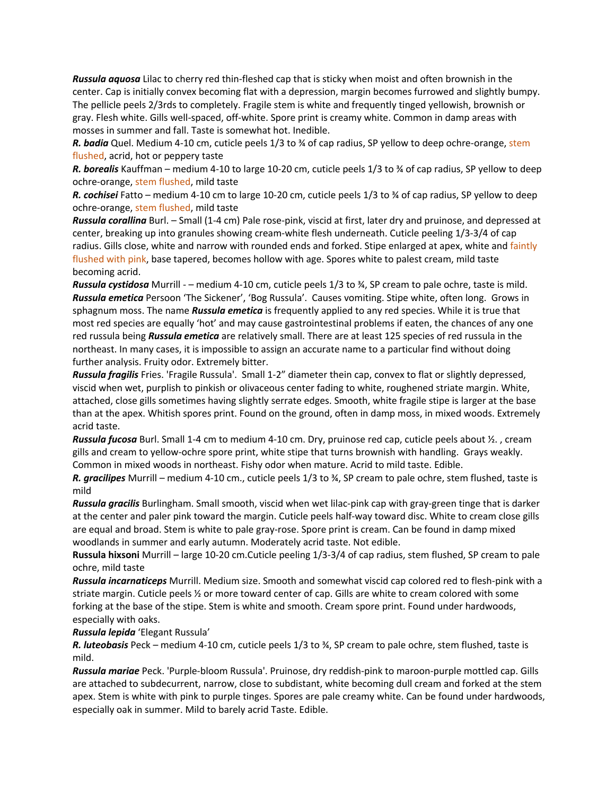*Russula aquosa* Lilac to cherry red thin-fleshed cap that is sticky when moist and often brownish in the center. Cap is initially convex becoming flat with a depression, margin becomes furrowed and slightly bumpy. The pellicle peels 2/3rds to completely. Fragile stem is white and frequently tinged yellowish, brownish or gray. Flesh white. Gills well-spaced, off-white. Spore print is creamy white. Common in damp areas with mosses in summer and fall. Taste is somewhat hot. Inedible.

*R. badia* Quel. Medium 4-10 cm, cuticle peels 1/3 to ¾ of cap radius, SP yellow to deep ochre-orange, stem flushed, acrid, hot or peppery taste

*R. borealis* Kauffman – medium 4-10 to large 10-20 cm, cuticle peels 1/3 to ¾ of cap radius, SP yellow to deep ochre-orange, stem flushed, mild taste

*R. cochisei* Fatto – medium 4-10 cm to large 10-20 cm, cuticle peels 1/3 to ¾ of cap radius, SP yellow to deep ochre-orange, stem flushed, mild taste

*Russula corallina* Burl. – Small (1-4 cm) Pale rose-pink, viscid at first, later dry and pruinose, and depressed at center, breaking up into granules showing cream-white flesh underneath. Cuticle peeling 1/3-3/4 of cap radius. Gills close, white and narrow with rounded ends and forked. Stipe enlarged at apex, white and faintly flushed with pink, base tapered, becomes hollow with age. Spores white to palest cream, mild taste becoming acrid.

*Russula cystidosa* Murrill - – medium 4-10 cm, cuticle peels 1/3 to ¾, SP cream to pale ochre, taste is mild. *Russula emetica* Persoon 'The Sickener', 'Bog Russula'. Causes vomiting. Stipe white, often long. Grows in sphagnum moss. The name *Russula emetica* is frequently applied to any red species. While it is true that most red species are equally 'hot' and may cause gastrointestinal problems if eaten, the chances of any one red russula being *Russula emetica* are relatively small. There are at least 125 species of red russula in the northeast. In many cases, it is impossible to assign an accurate name to a particular find without doing further analysis. Fruity odor. Extremely bitter.

*Russula fragilis* Fries. 'Fragile Russula'. Small 1-2" diameter thein cap, convex to flat or slightly depressed, viscid when wet, purplish to pinkish or olivaceous center fading to white, roughened striate margin. White, attached, close gills sometimes having slightly serrate edges. Smooth, white fragile stipe is larger at the base than at the apex. Whitish spores print. Found on the ground, often in damp moss, in mixed woods. Extremely acrid taste.

*Russula fucosa* Burl. Small 1-4 cm to medium 4-10 cm. Dry, pruinose red cap, cuticle peels about ½. , cream gills and cream to yellow-ochre spore print, white stipe that turns brownish with handling. Grays weakly. Common in mixed woods in northeast. Fishy odor when mature. Acrid to mild taste. Edible.

*R. gracilipes* Murrill – medium 4-10 cm., cuticle peels 1/3 to ¾, SP cream to pale ochre, stem flushed, taste is mild

*Russula gracilis* Burlingham. Small smooth, viscid when wet lilac-pink cap with gray-green tinge that is darker at the center and paler pink toward the margin. Cuticle peels half-way toward disc. White to cream close gills are equal and broad. Stem is white to pale gray-rose. Spore print is cream. Can be found in damp mixed woodlands in summer and early autumn. Moderately acrid taste. Not edible.

**Russula hixsoni** Murrill – large 10-20 cm.Cuticle peeling 1/3-3/4 of cap radius, stem flushed, SP cream to pale ochre, mild taste

*Russula incarnaticeps* Murrill. Medium size. Smooth and somewhat viscid cap colored red to flesh-pink with a striate margin. Cuticle peels ½ or more toward center of cap. Gills are white to cream colored with some forking at the base of the stipe. Stem is white and smooth. Cream spore print. Found under hardwoods, especially with oaks.

### *Russula lepida* 'Elegant Russula'

*R. luteobasis* Peck – medium 4-10 cm, cuticle peels 1/3 to ¾, SP cream to pale ochre, stem flushed, taste is mild.

*Russula mariae* Peck. 'Purple-bloom Russula'. Pruinose, dry reddish-pink to maroon-purple mottled cap. Gills are attached to subdecurrent, narrow, close to subdistant, white becoming dull cream and forked at the stem apex. Stem is white with pink to purple tinges. Spores are pale creamy white. Can be found under hardwoods, especially oak in summer. Mild to barely acrid Taste. Edible.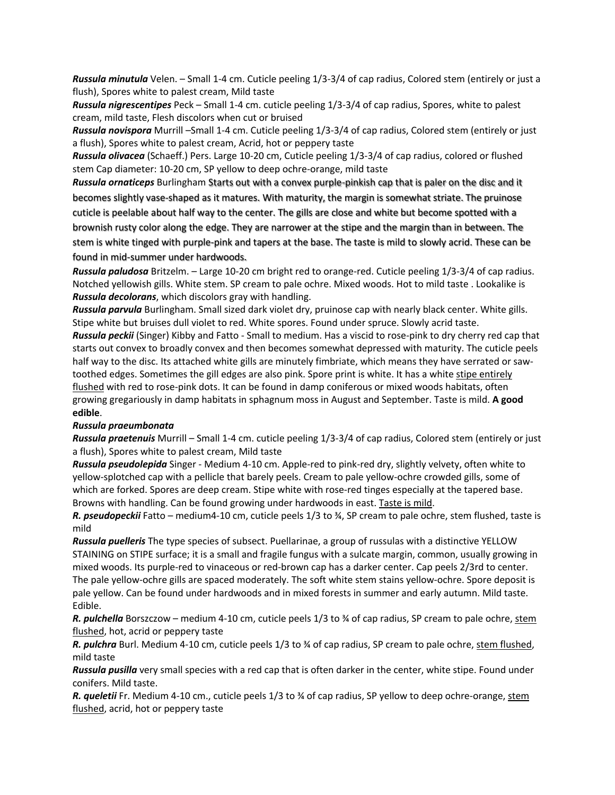*Russula minutula* Velen. – Small 1-4 cm. Cuticle peeling 1/3-3/4 of cap radius, Colored stem (entirely or just a flush), Spores white to palest cream, Mild taste

*Russula nigrescentipes* Peck – Small 1-4 cm. cuticle peeling 1/3-3/4 of cap radius, Spores, white to palest cream, mild taste, Flesh discolors when cut or bruised

*Russula novispora* Murrill –Small 1-4 cm. Cuticle peeling 1/3-3/4 of cap radius, Colored stem (entirely or just a flush), Spores white to palest cream, Acrid, hot or peppery taste

*Russula olivacea* (Schaeff.) Pers. Large 10-20 cm, Cuticle peeling 1/3-3/4 of cap radius, colored or flushed stem Cap diameter: 10-20 cm, SP yellow to deep ochre-orange, mild taste

*Russula ornaticeps* Burlingham Starts out with a convex purple-pinkish cap that is paler on the disc and it becomes slightly vase-shaped as it matures. With maturity, the margin is somewhat striate. The pruinose cuticle is peelable about half way to the center. The gills are close and white but become spotted with a brownish rusty color along the edge. They are narrower at the stipe and the margin than in between. The stem is white tinged with purple-pink and tapers at the base. The taste is mild to slowly acrid. These can be found in mid-summer under hardwoods.

*Russula paludosa* Britzelm. – Large 10-20 cm bright red to orange-red. Cuticle peeling 1/3-3/4 of cap radius. Notched yellowish gills. White stem. SP cream to pale ochre. Mixed woods. Hot to mild taste . Lookalike is *Russula decolorans*, which discolors gray with handling.

*Russula parvula* Burlingham. Small sized dark violet dry, pruinose cap with nearly black center. White gills. Stipe white but bruises dull violet to red. White spores. Found under spruce. Slowly acrid taste.

*Russula peckii* (Singer) Kibby and Fatto - Small to medium. Has a viscid to rose-pink to dry cherry red cap that starts out convex to broadly convex and then becomes somewhat depressed with maturity. The cuticle peels half way to the disc. Its attached white gills are minutely fimbriate, which means they have serrated or sawtoothed edges. Sometimes the gill edges are also pink. Spore print is white. It has a white stipe entirely flushed with red to rose-pink dots. It can be found in damp coniferous or mixed woods habitats, often growing gregariously in damp habitats in sphagnum moss in August and September. Taste is mild. **A good edible**.

### *Russula praeumbonata*

*Russula praetenuis* Murrill – Small 1-4 cm. cuticle peeling 1/3-3/4 of cap radius, Colored stem (entirely or just a flush), Spores white to palest cream, Mild taste

*Russula pseudolepida* Singer - Medium 4-10 cm. Apple-red to pink-red dry, slightly velvety, often white to yellow-splotched cap with a pellicle that barely peels. Cream to pale yellow-ochre crowded gills, some of which are forked. Spores are deep cream. Stipe white with rose-red tinges especially at the tapered base. Browns with handling. Can be found growing under hardwoods in east. Taste is mild.

*R. pseudopeckii* Fatto – medium4-10 cm, cuticle peels 1/3 to ¾, SP cream to pale ochre, stem flushed, taste is mild

*Russula puelleris* The type species of subsect. Puellarinae, a group of russulas with a distinctive YELLOW STAINING on STIPE surface; it is a small and fragile fungus with a sulcate margin, common, usually growing in mixed woods. Its purple-red to vinaceous or red-brown cap has a darker center. Cap peels 2/3rd to center. The pale yellow-ochre gills are spaced moderately. The soft white stem stains yellow-ochre. Spore deposit is pale yellow. Can be found under hardwoods and in mixed forests in summer and early autumn. Mild taste. Edible.

*R. pulchella* Borszczow – medium 4-10 cm, cuticle peels 1/3 to ¾ of cap radius, SP cream to pale ochre, stem flushed, hot, acrid or peppery taste

*R. pulchra* Burl. Medium 4-10 cm, cuticle peels 1/3 to ¾ of cap radius, SP cream to pale ochre, stem flushed, mild taste

*Russula pusilla* very small species with a red cap that is often darker in the center, white stipe. Found under conifers. Mild taste.

*R. queletii* Fr. Medium 4-10 cm., cuticle peels 1/3 to ¾ of cap radius, SP yellow to deep ochre-orange, stem flushed, acrid, hot or peppery taste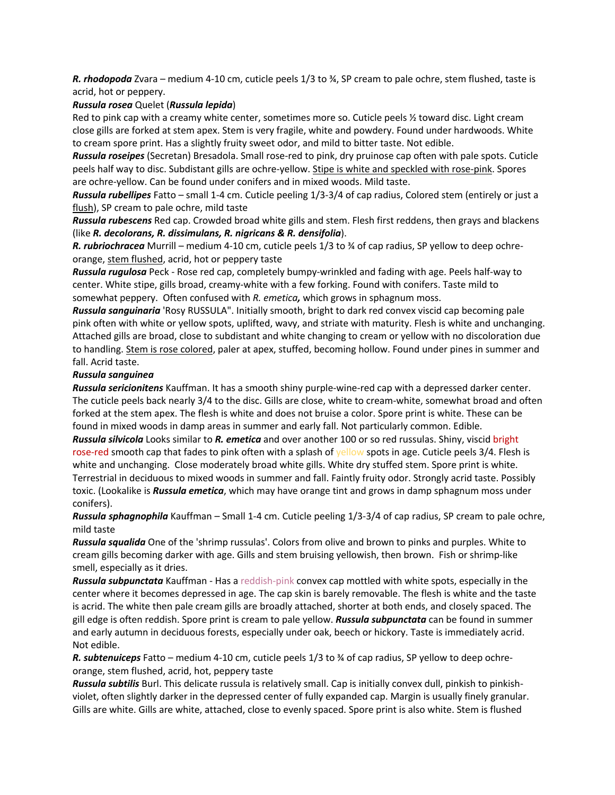*R. rhodopoda* Zvara – medium 4-10 cm, cuticle peels 1/3 to ¾, SP cream to pale ochre, stem flushed, taste is acrid, hot or peppery.

### *Russula rosea* Quelet (*Russula lepida*)

Red to pink cap with a creamy white center, sometimes more so. Cuticle peels % toward disc. Light cream close gills are forked at stem apex. Stem is very fragile, white and powdery. Found under hardwoods. White to cream spore print. Has a slightly fruity sweet odor, and mild to bitter taste. Not edible.

*Russula roseipes* (Secretan) Bresadola. Small rose-red to pink, dry pruinose cap often with pale spots. Cuticle peels half way to disc. Subdistant gills are ochre-yellow. Stipe is white and speckled with rose-pink. Spores are ochre-yellow. Can be found under conifers and in mixed woods. Mild taste.

*Russula rubellipes* Fatto – small 1-4 cm. Cuticle peeling 1/3-3/4 of cap radius, Colored stem (entirely or just a flush), SP cream to pale ochre, mild taste

*Russula rubescens* Red cap. Crowded broad white gills and stem. Flesh first reddens, then grays and blackens (like *R. decolorans, R. dissimulans, R. nigricans & R. densifolia*).

*R. rubriochracea* Murrill – medium 4-10 cm, cuticle peels 1/3 to ¾ of cap radius, SP yellow to deep ochreorange, stem flushed, acrid, hot or peppery taste

*Russula rugulosa* Peck - Rose red cap, completely bumpy-wrinkled and fading with age. Peels half-way to center. White stipe, gills broad, creamy-white with a few forking. Found with conifers. Taste mild to somewhat peppery. Often confused with *R. emetica,* which grows in sphagnum moss.

*Russula sanguinaria* 'Rosy RUSSULA". Initially smooth, bright to dark red convex viscid cap becoming pale pink often with white or yellow spots, uplifted, wavy, and striate with maturity. Flesh is white and unchanging. Attached gills are broad, close to subdistant and white changing to cream or yellow with no discoloration due to handling. Stem is rose colored, paler at apex, stuffed, becoming hollow. Found under pines in summer and fall. Acrid taste.

### *Russula sanguinea*

*Russula sericionitens* Kauffman. It has a smooth shiny purple-wine-red cap with a depressed darker center. The cuticle peels back nearly 3/4 to the disc. Gills are close, white to cream-white, somewhat broad and often forked at the stem apex. The flesh is white and does not bruise a color. Spore print is white. These can be found in mixed woods in damp areas in summer and early fall. Not particularly common. Edible.

*Russula silvicola* Looks similar to *R. emetica* and over another 100 or so red russulas. Shiny, viscid bright rose-red smooth cap that fades to pink often with a splash of yellow spots in age. Cuticle peels 3/4. Flesh is white and unchanging. Close moderately broad white gills. White dry stuffed stem. Spore print is white. Terrestrial in deciduous to mixed woods in summer and fall. Faintly fruity odor. Strongly acrid taste. Possibly toxic. (Lookalike is *Russula emetica*, which may have orange tint and grows in damp sphagnum moss under conifers).

*Russula sphagnophila* Kauffman – Small 1-4 cm. Cuticle peeling 1/3-3/4 of cap radius, SP cream to pale ochre, mild taste

*Russula squalida* One of the 'shrimp russulas'. Colors from olive and brown to pinks and purples. White to cream gills becoming darker with age. Gills and stem bruising yellowish, then brown. Fish or shrimp-like smell, especially as it dries.

*Russula subpunctata* Kauffman - Has a reddish-pink convex cap mottled with white spots, especially in the center where it becomes depressed in age. The cap skin is barely removable. The flesh is white and the taste is acrid. The white then pale cream gills are broadly attached, shorter at both ends, and closely spaced. The gill edge is often reddish. Spore print is cream to pale yellow. *Russula subpunctata* can be found in summer and early autumn in deciduous forests, especially under oak, beech or hickory. Taste is immediately acrid. Not edible.

*R. subtenuiceps* Fatto – medium 4-10 cm, cuticle peels 1/3 to ¾ of cap radius, SP yellow to deep ochreorange, stem flushed, acrid, hot, peppery taste

*Russula subtilis* Burl. This delicate russula is relatively small. Cap is initially convex dull, pinkish to pinkishviolet, often slightly darker in the depressed center of fully expanded cap. Margin is usually finely granular. Gills are white. Gills are white, attached, close to evenly spaced. Spore print is also white. Stem is flushed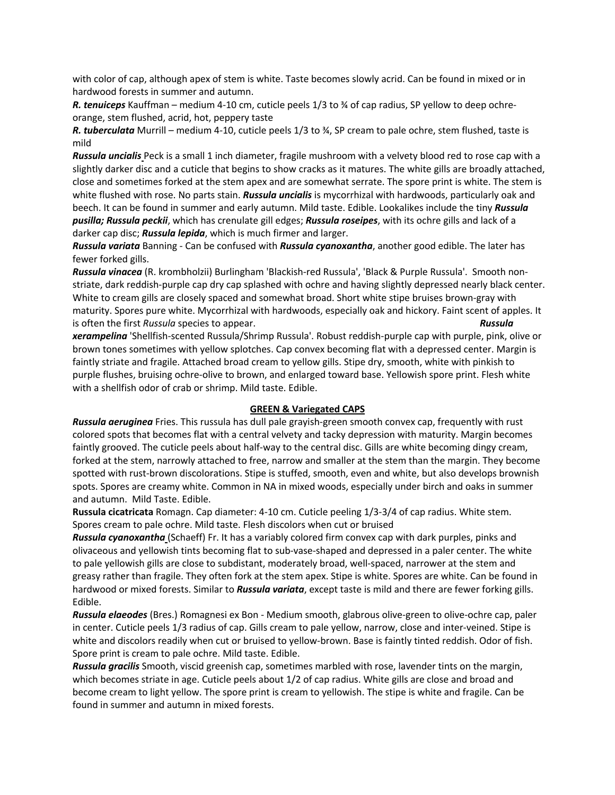with color of cap, although apex of stem is white. Taste becomes slowly acrid. Can be found in mixed or in hardwood forests in summer and autumn.

*R. tenuiceps* Kauffman – medium 4-10 cm, cuticle peels 1/3 to ¾ of cap radius, SP yellow to deep ochreorange, stem flushed, acrid, hot, peppery taste

*R. tuberculata* Murrill – medium 4-10, cuticle peels 1/3 to ¾, SP cream to pale ochre, stem flushed, taste is mild

*Russula uncialis* Peck is a small 1 inch diameter, fragile mushroom with a velvety blood red to rose cap with a slightly darker disc and a cuticle that begins to show cracks as it matures. The white gills are broadly attached, close and sometimes forked at the stem apex and are somewhat serrate. The spore print is white. The stem is white flushed with rose. No parts stain. *Russula uncialis* is mycorrhizal with hardwoods, particularly oak and beech. It can be found in summer and early autumn. Mild taste. Edible. Lookalikes include the tiny *Russula pusilla; Russula peckii*, which has crenulate gill edges; *Russula roseipes*, with its ochre gills and lack of a darker cap disc; *Russula lepida*, which is much firmer and larger.

*Russula variata* Banning - Can be confused with *Russula cyanoxantha*, another good edible. The later has fewer forked gills.

*Russula vinacea* (R. krombholzii) Burlingham 'Blackish-red Russula', 'Black & Purple Russula'. Smooth nonstriate, dark reddish-purple cap dry cap splashed with ochre and having slightly depressed nearly black center. White to cream gills are closely spaced and somewhat broad. Short white stipe bruises brown-gray with maturity. Spores pure white. Mycorrhizal with hardwoods, especially oak and hickory. Faint scent of apples. It is often the first *Russula* species to appear. *Russula* 

*xerampelina* 'Shellfish-scented Russula/Shrimp Russula'. Robust reddish-purple cap with purple, pink, olive or brown tones sometimes with yellow splotches. Cap convex becoming flat with a depressed center. Margin is faintly striate and fragile. Attached broad cream to yellow gills. Stipe dry, smooth, white with pinkish to purple flushes, bruising ochre-olive to brown, and enlarged toward base. Yellowish spore print. Flesh white with a shellfish odor of crab or shrimp. Mild taste. Edible.

### **GREEN & Variegated CAPS**

*Russula aeruginea* Fries. This russula has dull pale grayish-green smooth convex cap, frequently with rust colored spots that becomes flat with a central velvety and tacky depression with maturity. Margin becomes faintly grooved. The cuticle peels about half-way to the central disc. Gills are white becoming dingy cream, forked at the stem, narrowly attached to free, narrow and smaller at the stem than the margin. They become spotted with rust-brown discolorations. Stipe is stuffed, smooth, even and white, but also develops brownish spots. Spores are creamy white. Common in NA in mixed woods, especially under birch and oaks in summer and autumn. Mild Taste. Edible.

**Russula cicatricata** Romagn. Cap diameter: 4-10 cm. Cuticle peeling 1/3-3/4 of cap radius. White stem. Spores cream to pale ochre. Mild taste. Flesh discolors when cut or bruised

*Russula cyanoxantha* (Schaeff) Fr. It has a variably colored firm convex cap with dark purples, pinks and olivaceous and yellowish tints becoming flat to sub-vase-shaped and depressed in a paler center. The white to pale yellowish gills are close to subdistant, moderately broad, well-spaced, narrower at the stem and greasy rather than fragile. They often fork at the stem apex. Stipe is white. Spores are white. Can be found in hardwood or mixed forests. Similar to *Russula variata*, except taste is mild and there are fewer forking gills. Edible.

*Russula elaeodes* (Bres.) Romagnesi ex Bon - Medium smooth, glabrous olive-green to olive-ochre cap, paler in center. Cuticle peels 1/3 radius of cap. Gills cream to pale yellow, narrow, close and inter-veined. Stipe is white and discolors readily when cut or bruised to yellow-brown. Base is faintly tinted reddish. Odor of fish. Spore print is cream to pale ochre. Mild taste. Edible.

*Russula gracilis* Smooth, viscid greenish cap, sometimes marbled with rose, lavender tints on the margin, which becomes striate in age. Cuticle peels about 1/2 of cap radius. White gills are close and broad and become cream to light yellow. The spore print is cream to yellowish. The stipe is white and fragile. Can be found in summer and autumn in mixed forests.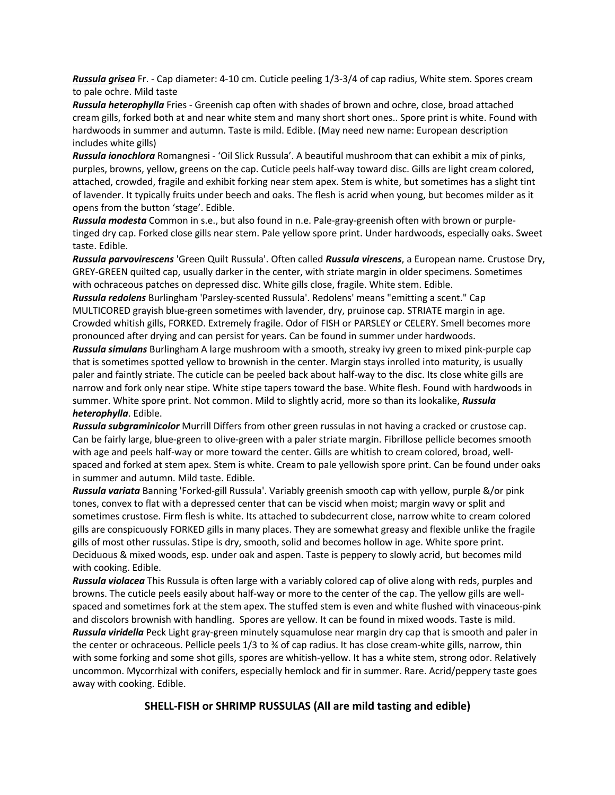*Russula grisea* Fr. - Cap diameter: 4-10 cm. Cuticle peeling 1/3-3/4 of cap radius, White stem. Spores cream to pale ochre. Mild taste

*Russula heterophylla* Fries - Greenish cap often with shades of brown and ochre, close, broad attached cream gills, forked both at and near white stem and many short short ones.. Spore print is white. Found with hardwoods in summer and autumn. Taste is mild. Edible. (May need new name: European description includes white gills)

*Russula ionochlora* Romangnesi - 'Oil Slick Russula'. A beautiful mushroom that can exhibit a mix of pinks, purples, browns, yellow, greens on the cap. Cuticle peels half-way toward disc. Gills are light cream colored, attached, crowded, fragile and exhibit forking near stem apex. Stem is white, but sometimes has a slight tint of lavender. It typically fruits under beech and oaks. The flesh is acrid when young, but becomes milder as it opens from the button 'stage'. Edible.

*Russula modesta* Common in s.e., but also found in n.e. Pale-gray-greenish often with brown or purpletinged dry cap. Forked close gills near stem. Pale yellow spore print. Under hardwoods, especially oaks. Sweet taste. Edible.

*Russula parvovirescens* 'Green Quilt Russula'. Often called *Russula virescens*, a European name. Crustose Dry, GREY-GREEN quilted cap, usually darker in the center, with striate margin in older specimens. Sometimes with ochraceous patches on depressed disc. White gills close, fragile. White stem. Edible.

*Russula redolens* Burlingham 'Parsley-scented Russula'. Redolens' means "emitting a scent." Cap MULTICORED grayish blue-green sometimes with lavender, dry, pruinose cap. STRIATE margin in age. Crowded whitish gills, FORKED. Extremely fragile. Odor of FISH or PARSLEY or CELERY. Smell becomes more pronounced after drying and can persist for years. Can be found in summer under hardwoods.

*Russula simulans* Burlingham A large mushroom with a smooth, streaky ivy green to mixed pink-purple cap that is sometimes spotted yellow to brownish in the center. Margin stays inrolled into maturity, is usually paler and faintly striate. The cuticle can be peeled back about half-way to the disc. Its close white gills are narrow and fork only near stipe. White stipe tapers toward the base. White flesh. Found with hardwoods in summer. White spore print. Not common. Mild to slightly acrid, more so than its lookalike, *Russula heterophylla*. Edible.

*Russula subgraminicolor* Murrill Differs from other green russulas in not having a cracked or crustose cap. Can be fairly large, blue-green to olive-green with a paler striate margin. Fibrillose pellicle becomes smooth with age and peels half-way or more toward the center. Gills are whitish to cream colored, broad, wellspaced and forked at stem apex. Stem is white. Cream to pale yellowish spore print. Can be found under oaks in summer and autumn. Mild taste. Edible.

*Russula variata* Banning 'Forked-gill Russula'. Variably greenish smooth cap with yellow, purple &/or pink tones, convex to flat with a depressed center that can be viscid when moist; margin wavy or split and sometimes crustose. Firm flesh is white. Its attached to subdecurrent close, narrow white to cream colored gills are conspicuously FORKED gills in many places. They are somewhat greasy and flexible unlike the fragile gills of most other russulas. Stipe is dry, smooth, solid and becomes hollow in age. White spore print. Deciduous & mixed woods, esp. under oak and aspen. Taste is peppery to slowly acrid, but becomes mild with cooking. Edible.

*Russula violacea* This Russula is often large with a variably colored cap of olive along with reds, purples and browns. The cuticle peels easily about half-way or more to the center of the cap. The yellow gills are wellspaced and sometimes fork at the stem apex. The stuffed stem is even and white flushed with vinaceous-pink and discolors brownish with handling. Spores are yellow. It can be found in mixed woods. Taste is mild. *Russula viridella* Peck Light gray-green minutely squamulose near margin dry cap that is smooth and paler in the center or ochraceous. Pellicle peels 1/3 to ¾ of cap radius. It has close cream-white gills, narrow, thin with some forking and some shot gills, spores are whitish-yellow. It has a white stem, strong odor. Relatively uncommon. Mycorrhizal with conifers, especially hemlock and fir in summer. Rare. Acrid/peppery taste goes away with cooking. Edible.

## **SHELL-FISH or SHRIMP RUSSULAS (All are mild tasting and edible)**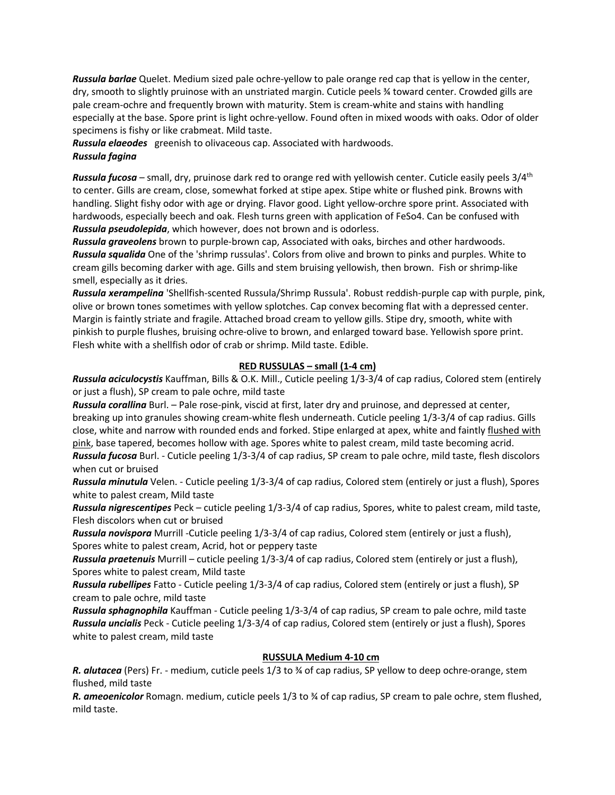*Russula barlae* Quelet. Medium sized pale ochre-yellow to pale orange red cap that is yellow in the center, dry, smooth to slightly pruinose with an unstriated margin. Cuticle peels ¾ toward center. Crowded gills are pale cream-ochre and frequently brown with maturity. Stem is cream-white and stains with handling especially at the base. Spore print is light ochre-yellow. Found often in mixed woods with oaks. Odor of older specimens is fishy or like crabmeat. Mild taste.

*Russula elaeodes* greenish to olivaceous cap. Associated with hardwoods.

## *Russula fagina*

*Russula fucosa* – small, dry, pruinose dark red to orange red with yellowish center. Cuticle easily peels 3/4th to center. Gills are cream, close, somewhat forked at stipe apex. Stipe white or flushed pink. Browns with handling. Slight fishy odor with age or drying. Flavor good. Light yellow-orchre spore print. Associated with hardwoods, especially beech and oak. Flesh turns green with application of FeSo4. Can be confused with *Russula pseudolepida*, which however, does not brown and is odorless.

*Russula graveolens* brown to purple-brown cap, Associated with oaks, birches and other hardwoods. *Russula squalida* One of the 'shrimp russulas'. Colors from olive and brown to pinks and purples. White to cream gills becoming darker with age. Gills and stem bruising yellowish, then brown. Fish or shrimp-like smell, especially as it dries.

*Russula xerampelina* 'Shellfish-scented Russula/Shrimp Russula'. Robust reddish-purple cap with purple, pink, olive or brown tones sometimes with yellow splotches. Cap convex becoming flat with a depressed center. Margin is faintly striate and fragile. Attached broad cream to yellow gills. Stipe dry, smooth, white with pinkish to purple flushes, bruising ochre-olive to brown, and enlarged toward base. Yellowish spore print. Flesh white with a shellfish odor of crab or shrimp. Mild taste. Edible.

## **RED RUSSULAS – small (1-4 cm)**

*Russula aciculocystis* Kauffman, Bills & O.K. Mill., Cuticle peeling 1/3-3/4 of cap radius, Colored stem (entirely or just a flush), SP cream to pale ochre, mild taste

*Russula corallina* Burl. – Pale rose-pink, viscid at first, later dry and pruinose, and depressed at center, breaking up into granules showing cream-white flesh underneath. Cuticle peeling 1/3-3/4 of cap radius. Gills close, white and narrow with rounded ends and forked. Stipe enlarged at apex, white and faintly flushed with pink, base tapered, becomes hollow with age. Spores white to palest cream, mild taste becoming acrid. *Russula fucosa* Burl. - Cuticle peeling 1/3-3/4 of cap radius, SP cream to pale ochre, mild taste, flesh discolors when cut or bruised

*Russula minutula* Velen. - Cuticle peeling 1/3-3/4 of cap radius, Colored stem (entirely or just a flush), Spores white to palest cream, Mild taste

*Russula nigrescentipes* Peck – cuticle peeling 1/3-3/4 of cap radius, Spores, white to palest cream, mild taste, Flesh discolors when cut or bruised

*Russula novispora* Murrill -Cuticle peeling 1/3-3/4 of cap radius, Colored stem (entirely or just a flush), Spores white to palest cream, Acrid, hot or peppery taste

*Russula praetenuis* Murrill – cuticle peeling 1/3-3/4 of cap radius, Colored stem (entirely or just a flush), Spores white to palest cream, Mild taste

*Russula rubellipes* Fatto - Cuticle peeling 1/3-3/4 of cap radius, Colored stem (entirely or just a flush), SP cream to pale ochre, mild taste

*Russula sphagnophila* Kauffman - Cuticle peeling 1/3-3/4 of cap radius, SP cream to pale ochre, mild taste *Russula uncialis* Peck - Cuticle peeling 1/3-3/4 of cap radius, Colored stem (entirely or just a flush), Spores white to palest cream, mild taste

## **RUSSULA Medium 4-10 cm**

*R. alutacea* (Pers) Fr. - medium, cuticle peels 1/3 to ¾ of cap radius, SP yellow to deep ochre-orange, stem flushed, mild taste

*R. ameoenicolor* Romagn. medium, cuticle peels 1/3 to ¾ of cap radius, SP cream to pale ochre, stem flushed, mild taste.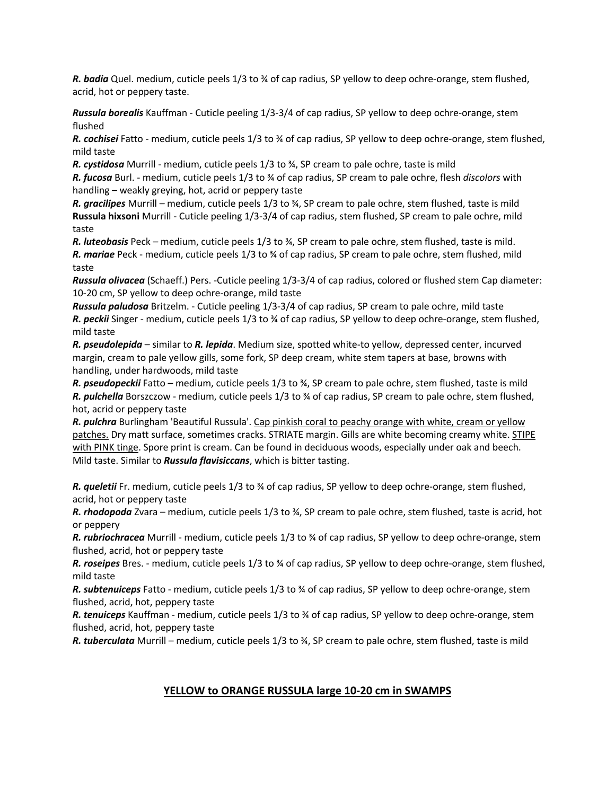*R. badia* Quel. medium, cuticle peels 1/3 to ¾ of cap radius, SP yellow to deep ochre-orange, stem flushed, acrid, hot or peppery taste.

*Russula borealis* Kauffman - Cuticle peeling 1/3-3/4 of cap radius, SP yellow to deep ochre-orange, stem flushed

*R. cochisei* Fatto - medium, cuticle peels 1/3 to ¾ of cap radius, SP yellow to deep ochre-orange, stem flushed, mild taste

*R. cystidosa* Murrill - medium, cuticle peels 1/3 to ¾, SP cream to pale ochre, taste is mild

*R. fucosa* Burl. - medium, cuticle peels 1/3 to ¾ of cap radius, SP cream to pale ochre, flesh *discolors* with handling – weakly greying, hot, acrid or peppery taste

*R. gracilipes* Murrill – medium, cuticle peels 1/3 to ¾, SP cream to pale ochre, stem flushed, taste is mild **Russula hixsoni** Murrill - Cuticle peeling 1/3-3/4 of cap radius, stem flushed, SP cream to pale ochre, mild taste

*R. luteobasis* Peck – medium, cuticle peels 1/3 to ¾, SP cream to pale ochre, stem flushed, taste is mild. *R. mariae* Peck - medium, cuticle peels 1/3 to ¾ of cap radius, SP cream to pale ochre, stem flushed, mild taste

*Russula olivacea* (Schaeff.) Pers. -Cuticle peeling 1/3-3/4 of cap radius, colored or flushed stem Cap diameter: 10-20 cm, SP yellow to deep ochre-orange, mild taste

*Russula paludosa* Britzelm. - Cuticle peeling 1/3-3/4 of cap radius, SP cream to pale ochre, mild taste *R. peckii* Singer - medium, cuticle peels 1/3 to ¾ of cap radius, SP yellow to deep ochre-orange, stem flushed, mild taste

*R. pseudolepida* – similar to *R. lepida*. Medium size, spotted white-to yellow, depressed center, incurved margin, cream to pale yellow gills, some fork, SP deep cream, white stem tapers at base, browns with handling, under hardwoods, mild taste

*R. pseudopeckii* Fatto – medium, cuticle peels 1/3 to ¾, SP cream to pale ochre, stem flushed, taste is mild *R. pulchella* Borszczow - medium, cuticle peels 1/3 to ¾ of cap radius, SP cream to pale ochre, stem flushed, hot, acrid or peppery taste

*R. pulchra* Burlingham 'Beautiful Russula'. Cap pinkish coral to peachy orange with white, cream or yellow patches. Dry matt surface, sometimes cracks. STRIATE margin. Gills are white becoming creamy white. STIPE with PINK tinge. Spore print is cream. Can be found in deciduous woods, especially under oak and beech. Mild taste. Similar to *Russula flavisiccans*, which is bitter tasting.

*R. queletii* Fr. medium, cuticle peels 1/3 to ¾ of cap radius, SP yellow to deep ochre-orange, stem flushed, acrid, hot or peppery taste

*R. rhodopoda* Zvara – medium, cuticle peels 1/3 to ¾, SP cream to pale ochre, stem flushed, taste is acrid, hot or peppery

*R. rubriochracea* Murrill - medium, cuticle peels 1/3 to ¾ of cap radius, SP yellow to deep ochre-orange, stem flushed, acrid, hot or peppery taste

*R. roseipes* Bres. - medium, cuticle peels 1/3 to ¾ of cap radius, SP yellow to deep ochre-orange, stem flushed, mild taste

*R. subtenuiceps* Fatto - medium, cuticle peels 1/3 to ¾ of cap radius, SP yellow to deep ochre-orange, stem flushed, acrid, hot, peppery taste

*R. tenuiceps* Kauffman - medium, cuticle peels 1/3 to ¾ of cap radius, SP yellow to deep ochre-orange, stem flushed, acrid, hot, peppery taste

*R. tuberculata* Murrill – medium, cuticle peels 1/3 to ¾, SP cream to pale ochre, stem flushed, taste is mild

# **YELLOW to ORANGE RUSSULA large 10-20 cm in SWAMPS**